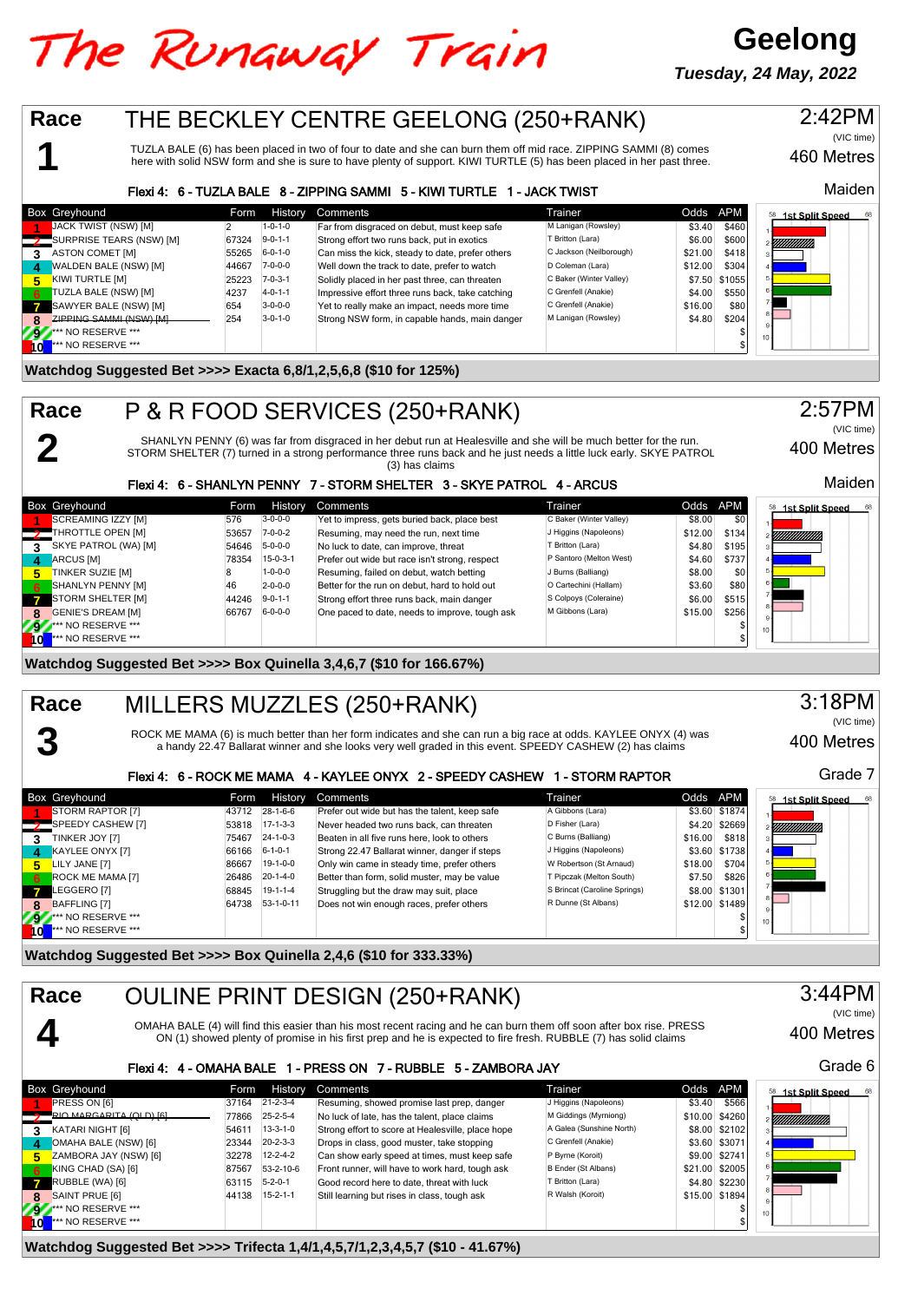## The Runaway Train

**Geelong Tuesday, 24 May, 2022**



**Watchdog Suggested Bet >>>> Trifecta 1,4/1,4,5,7/1,2,3,4,5,7 (\$10 - 41.67%)**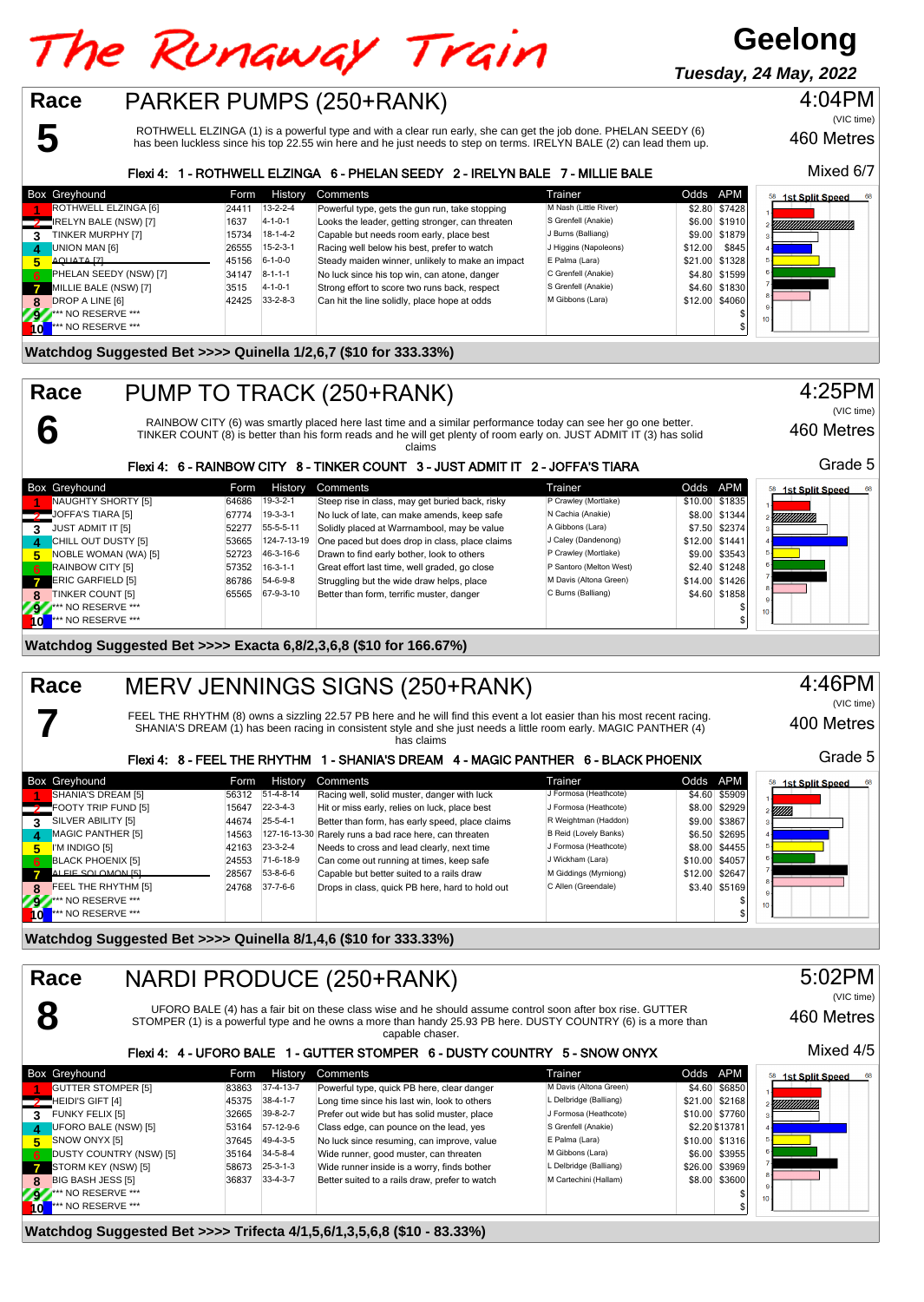# The Runaway Train

## **Geelong**

**Tuesday, 24 May, 2022**



**6**

**7**

**Race**

## PARKER PUMPS (250+RANK)

ROTHWELL ELZINGA (1) is a powerful type and with a clear run early, she can get the job done. PHELAN SEEDY (6) has been luckless since his top 22.55 win here and he just needs to step on terms. IRELYN BALE (2) can lead them up.

#### Flexi 4: 1 - ROTHWELL ELZINGA 6 - PHELAN SEEDY 2 - IRELYN BALE 7 - MILLIE BALE

|    | Box Greyhound                | Form  | <b>History</b>   | Comments                                         | Trainer               |         | Odds APM       | <b>1st Split Speed</b><br>68 |
|----|------------------------------|-------|------------------|--------------------------------------------------|-----------------------|---------|----------------|------------------------------|
|    | ROTHWELL ELZINGA [6]         | 2441  | $13 - 2 - 2 - 4$ | Powerful type, gets the gun run, take stopping   | M Nash (Little River) |         | \$2.80 \$7428  |                              |
|    | <b>IRELYN BALE (NSW) [7]</b> | 1637  | $4 - 1 - 0 - 1$  | Looks the leader, getting stronger, can threaten | S Grenfell (Anakie)   |         | \$6.00 \$1910  | YMMMMMMMMM                   |
| 3  | TINKER MURPHY [7]            | 15734 | $18-1-4-2$       | Capable but needs room early, place best         | J Burns (Balliang)    |         | \$9.00 \$1879  |                              |
|    | UNION MAN [6]                | 26555 | $15 - 2 - 3 - 1$ | Racing well below his best, prefer to watch      | J Higgins (Napoleons) | \$12.00 | \$845          |                              |
|    | AQUATA [7]                   | 45156 | $6 - 1 - 0 - 0$  | Steady maiden winner, unlikely to make an impact | E Palma (Lara)        |         | \$21.00 \$1328 |                              |
| 6  | PHELAN SEEDY (NSW) [7]       | 34147 | $8 - 1 - 1 - 1$  | No luck since his top win, can atone, danger     | C Grenfell (Anakie)   |         | \$4.80 \$1599  |                              |
| Z  | MILLIE BALE (NSW) [7]        | 3515  | $4 - 1 - 0 - 1$  | Strong effort to score two runs back, respect    | S Grenfell (Anakie)   |         | \$4,60 \$1830  |                              |
| 8  | DROP A LINE [6]              | 42425 | $33 - 2 - 8 - 3$ | Can hit the line solidly, place hope at odds     | M Gibbons (Lara)      |         | \$12.00 \$4060 |                              |
| 79 | ** NO RESERVE ***            |       |                  |                                                  |                       |         |                | $10 -$                       |
|    | *** NO RESERVE ***           |       |                  |                                                  |                       |         |                |                              |

#### **Watchdog Suggested Bet >>>> Quinella 1/2,6,7 (\$10 for 333.33%)**

## PUMP TO TRACK (250+RANK)

RAINBOW CITY (6) was smartly placed here last time and a similar performance today can see her go one better.<br>TINKER COUNT (8) is better than his form reads and he will get plenty of room early on. JUST ADMIT IT (3) has so

| TINNER COUNT (6) IS DELIEF INAN NIS TOMM FEADS AND NE WILL GET DIENTY OF FOOM EAMY ON. JUST ADIVILETT (3) NAS SOIID<br>w<br>claims |       |                  |                                                                                |                         |                |                | .                  |  |  |
|------------------------------------------------------------------------------------------------------------------------------------|-------|------------------|--------------------------------------------------------------------------------|-------------------------|----------------|----------------|--------------------|--|--|
|                                                                                                                                    |       |                  | Flexi 4: 6 - RAINBOW CITY 8 - TINKER COUNT 3 - JUST ADMIT IT 2 - JOFFA'S TIARA |                         |                |                | Grade              |  |  |
| ox Greyhound                                                                                                                       | Form  | History          | Comments                                                                       | Trainer                 | Odds APM       |                | 58 1st Split Speed |  |  |
| NAUGHTY SHORTY [5]                                                                                                                 | 64686 | $19-3-2-1$       | Steep rise in class, may get buried back, risky                                | P Crawley (Mortlake)    |                | \$10.00 \$1835 |                    |  |  |
| JOFFA'S TIARA [5]                                                                                                                  | 67774 | $19-3-3-1$       | No luck of late, can make amends, keep safe                                    | N Cachia (Anakie)       |                | \$8.00 \$1344  | YMMMM).            |  |  |
| <b>JUST ADMIT IT [5]</b>                                                                                                           | 52277 | 55-5-5-11        | Solidly placed at Warrnambool, may be value                                    | A Gibbons (Lara)        |                | \$7.50 \$2374  |                    |  |  |
| CHILL OUT DUSTY [5]                                                                                                                | 53665 | 124-7-13-19      | One paced but does drop in class, place claims                                 | J Caley (Dandenong)     | \$12.00 \$1441 |                |                    |  |  |
| NOBLE WOMAN (WA) [5]                                                                                                               | 52723 | 46-3-16-6        | Drawn to find early bother, look to others                                     | P Crawley (Mortlake)    |                | \$9.00 \$3543  |                    |  |  |
| <b>RAINBOW CITY [5]</b>                                                                                                            | 57352 | $16 - 3 - 1 - 1$ | Great effort last time, well graded, go close                                  | P Santoro (Melton West) |                | \$2.40 \$1248  |                    |  |  |
| <b>ERIC GARFIELD [5]</b>                                                                                                           | 86786 | 54-6-9-8         | Struggling but the wide draw helps, place                                      | M Davis (Altona Green)  |                | \$14.00 \$1426 |                    |  |  |
| <b>TINKER COUNT [5]</b>                                                                                                            | 65565 | 67-9-3-10        | Better than form, terrific muster, danger                                      | C Burns (Balliang)      |                | \$4.60 \$1858  |                    |  |  |
|                                                                                                                                    |       |                  |                                                                                |                         |                |                |                    |  |  |

**Watchdog Suggested Bet >>>> Exacta 6,8/2,3,6,8 (\$10 for 166.67%)**

#### MERV JENNINGS SIGNS (250+RANK) **Race**

FEEL THE RHYTHM (8) owns a sizzling 22.57 PB here and he will find this event a lot easier than his most recent racing. SHANIA'S DREAM (1) has been racing in consistent style and she just needs a little room early. MAGIC PANTHER (4) has claims

**92** \*\*\* NO RESERVE \*\*\* \$ **10** \*\*\* NO RESERVE \*\*\* \$

#### Flexi 4: 8 - FEEL THE RHYTHM 1 - SHANIA'S DREAM 4 - MAGIC PANTHER 6 - BLACK PHOENIX

|     | Box Greyhound            | Form  | <b>History</b>   | Comments                                               | Trainer                      | Odds APM       |               | <b>1st Split Speed</b> |
|-----|--------------------------|-------|------------------|--------------------------------------------------------|------------------------------|----------------|---------------|------------------------|
|     | SHANIA'S DREAM [5]       | 56312 | $51-4-8-14$      | Racing well, solid muster, danger with luck            | J Formosa (Heathcote)        |                | \$4.60 \$5909 |                        |
|     | FOOTY TRIP FUND [5]      | 15647 | $22 - 3 - 4 - 3$ | Hit or miss early, relies on luck, place best          | J Formosa (Heathcote)        |                | \$8.00 \$2929 | : <i>VIIII</i> ).      |
| 3.  | SILVER ABILITY [5]       | 44674 | $25 - 5 - 4 - 1$ | Better than form, has early speed, place claims        | R Weightman (Haddon)         |                | \$9.00 \$3867 |                        |
| П   | MAGIC PANTHER [5]        | 14563 |                  | 127-16-13-30 Rarely runs a bad race here, can threaten | <b>B Reid (Lovely Banks)</b> |                | \$6.50 \$2695 |                        |
| 5.  | I'M INDIGO [5]           | 42163 | $23 - 3 - 2 - 4$ | Needs to cross and lead clearly, next time             | J Formosa (Heathcote)        |                | \$8.00 \$4455 |                        |
| 6.  | <b>BLACK PHOENIX [5]</b> | 24553 | 71-6-18-9        | Can come out running at times, keep safe               | J Wickham (Lara)             | \$10.00 \$4057 |               |                        |
|     | ALFIE SOLOMON ISL        | 28567 | 53-8-6-6         | Capable but better suited to a rails draw              | M Giddings (Myrniong)        | \$12.00 \$2647 |               |                        |
| я   | FEEL THE RHYTHM [5]      | 24768 | $37 - 7 - 6 - 6$ | Drops in class, quick PB here, hard to hold out        | C Allen (Greendale)          |                | \$3.40 \$5169 |                        |
| 297 | NO RESERVE ***           |       |                  |                                                        |                              |                |               | 10 <sub>10</sub>       |
|     | *** NO RESERVE ***       |       |                  |                                                        |                              |                |               |                        |

**Watchdog Suggested Bet >>>> Quinella 8/1,4,6 (\$10 for 333.33%)**

#### **Race** 5:02PM NARDI PRODUCE (250+RANK) (VIC time) **8** UFORO BALE (4) has a fair bit on these class wise and he should assume control soon after box rise. GUTTER 460 Metres STOMPER (1) is a powerful type and he owns a more than handy 25.93 PB here. DUSTY COUNTRY (6) is a more than capable chaser. Mixed 4/5 Flexi 4: 4 - UFORO BALE 1 - GUTTER STOMPER 6 - DUSTY COUNTRY 5 - SNOW ONYX Box Greyhound **Form History Comments** Comments Trainer Trainer Codds APM<br>**Form History Comments** Trainer Collection of Maxis (Altona Green) \$4.60 \$6850 \$6850 \$6850 \$6850 \$6850 \$6850 \$6850 \$6850 \$6850 \$6850 \$6850 \$6850 \$685 **1st Split Speed** 11 GUTTER STOMPER [5] 83863 37-4-13-7 Powerful type, quick PB here, clear danger M Davis (Altona Green) \$4.60 \$6850<br>HEIDI'S GIFT [4] 45375 38-4-1-7 Long time since his last win, look to others L Delbridge (Balliang) \$21.00 HEIDI'S GIFT [4] 45375 38-4-1-7 Long time since his last win, look to others L Delbridge (Balliang) \$21.00 \$2168<br>**21.00 \$1.00 \$1.00 \$7760 12.00 \$7760 Prefer out wide but has solid muster, place** J Formosa (Heathcote) \$10.0 **1** FUNKY FELIX [5] 32665 39-8-2-7 Prefer out wide but has solid muster, place J Formosa (Heathcote) \$10.00 \$7760 \$1760 \$17760 \$17760 \$17760 \$10.00 \$7760 \$10.00 \$7760 \$10.00 \$7760 \$1378 **LIFORO BALE (NSW) [5] 53164** 57-12-9-6 Class edge, can pounce on the lead, yes S Grenfell (Anakie) \$2.20 \$13781<br>SNOW ONYX [5] 37645 49-4-3-5 No luck since resuming, can improve, value E Palma (Lara) \$10.00 \$1316 **SNOW ONYX [5]** 37645 49-4-3-5 No luck since resuming, can improve, value E Palma (Lara) \$10.00 \$1316<br>DUSTY COUNTRY (NSW) [5] 35164 34-5-8-4 Wide runner, good muster, can threaten M Gibbons (Lara) \$6.00 \$3955 **6** DUSTY COUNTRY (NSW) [5] 35164 34-5-8-4 Wide runner, good muster, can threaten M Gibbons (Lara) \$6.00 \$3955<br>1968 STORM KEY (NSW) [5] \$26.00 \$3969 53969 STORM FOR SEARCH STORM KEY (NSW) \$26.00 \$3969 **710 STORM KEY (NSW) [5]** 58673 25-3-1-3 Wide runner inside is a worry, finds bother L Delbridge (Balliang) \$26.00 \$3969<br>[8] BIG BASH JESS [5] 35800 \$3600 \$3600 \$3600 \$3600 \$3600 \$3600 \$3600 \$3600 \$3600 \$3600 \$3600 \$3600 \$ **BIG BASH JESS [5]** 36837 33-4-3-7 Better suited to a rails draw, prefer to watch M Cartechini (Hallam) \$8.00 \$3600 \$1.00 \$3600 \$1.00 \$1.00 \$3.00 \$1.00 \$1.00 \$1.00 \$1.00 \$1.00 \$3600 \$1.00 \$1.00 \$1.00 \$1.00 \$1.00 \$1.00 \$1.0 **9 \*\*\*** NO RESERVE \*\*\* \$ **10** \*\*\* NO RESERVE \*\*\* \$

#### **Watchdog Suggested Bet >>>> Trifecta 4/1,5,6/1,3,5,6,8 (\$10 - 83.33%)**

460 Metres Mixed 6/7

4:04PM

(VIC time)



400 Metres

Grade 5

(VIC time)

4:46PM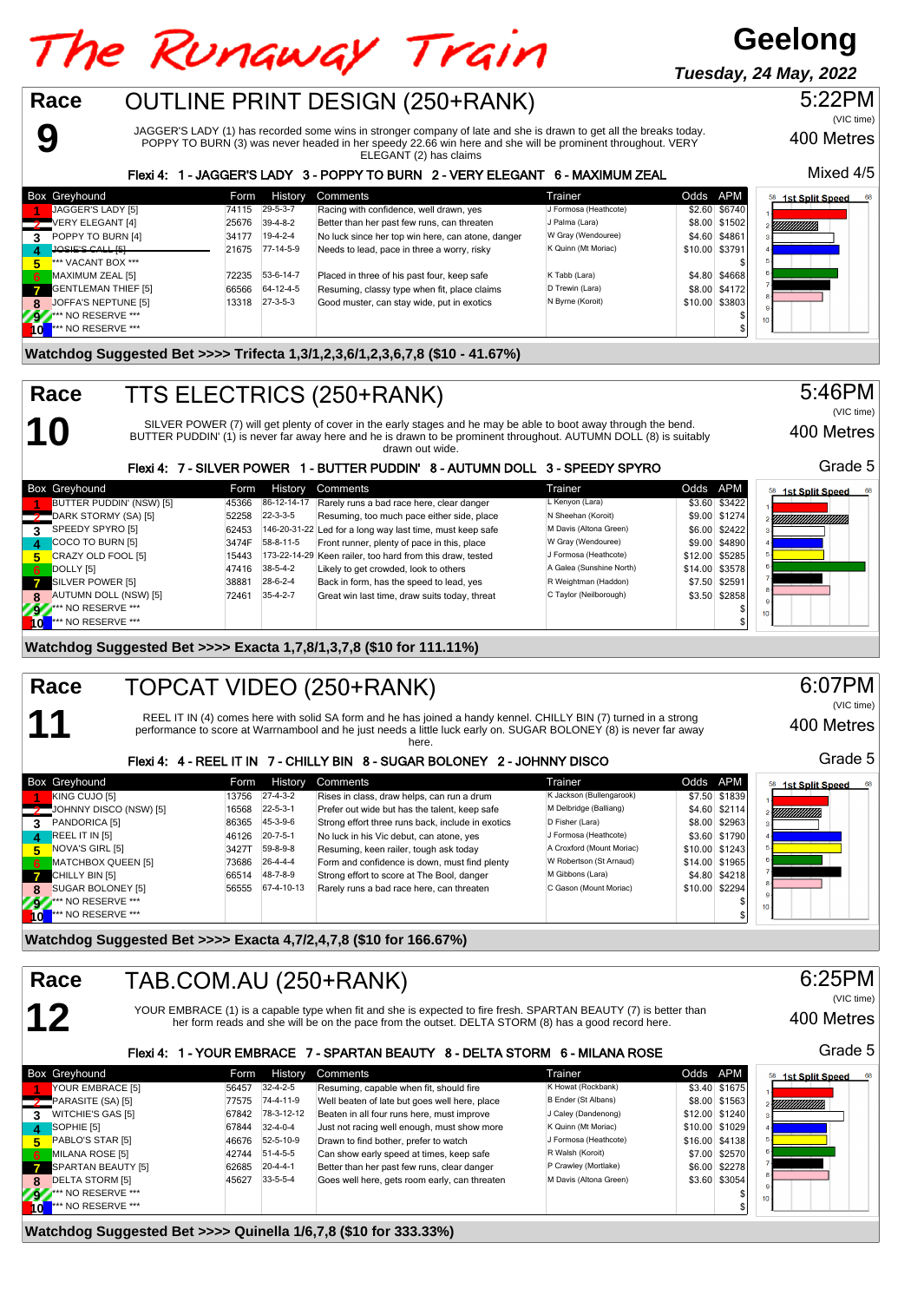#### **Geelong** The Runaway Train **Tuesday, 24 May, 2022**OUTLINE PRINT DESIGN (250+RANK) **Race** 5:22PM (VIC time) JAGGER'S LADY (1) has recorded some wins in stronger company of late and she is drawn to get all the breaks today. **9** 400 Metres POPPY TO BURN (3) was never headed in her speedy 22.66 win here and she will be prominent throughout. VERY ELEGANT (2) has claims Mixed 4/5 Flexi 4: 1 - JAGGER'S LADY 3 - POPPY TO BURN 2 - VERY ELEGANT 6 - MAXIMUM ZEAL Box Greyhound The Team History Comments Trainer Trainer Trainer Codds APM **1st Split Speed 1** JAGGER'S LADY [5] 74115 29-5-3-7 Racing with confidence, well drawn, yes J Formosa (Heathcote) \$2.60 \$6740<br>VERY FI FGANT [4] 25676 39-4-8-2 Retter than her past few runs can threaten J Palma (Lara) \$8.00 \$1502 **2** VERY ELEGANT [4] 25676 39-4-8-2 Better than her past few runs, can threaten JPalma (Lara) \$8.00 \$1502<br>**2** POPPY TO BURN [4] 34177 19-4-2-4 No luck since her top win here, can atone, danger W Gray (Wendouree) \$4.60 \$486 **POPPY TO BURN [4]** 34177 19-4-2-4 No luck since her top win here, can atone, danger W Gray (Wendouree) \$4.60 \$4861<br> **JOSIE'S CALL 151 2006 \$3791 19-4-2-4** Needs to lead, pace in three a worry, risky K Quinn (Mt Moriac) \$1 **40SIE'S CALL [5] 21675 77-14-5-9** Needs to lead, pace in three a worry, risky K CALL **FOR MORIAL** \$10.000 \$10.00 \$10.00 \$10.00 \$10.00 \$10.00 \$10.00 \$10.00 \$10.00 \$10.00 \$10.00 \$10.00 \$10.00 \$10.00 \$10.00 \$10.00 \$10.00 \$10 **5** \*\*\* VACANT BOX \*\*\* \$ **MAXIMUM ZEAL [5] 72235 53-6-14-7 Placed in three of his past four, keep safe K Tabb (Lara) \$4.80 \$4.80 \$4668 <b>\$4.80 \$4.80 \$4668**<br>CENTLEMAN THIEE ISL ASSAUL ASSAUL ASSAULT Besuming classy type when fit place claims D Trewi **7** GENTLEMAN THIEF [5] 66566 64-12-4-5 Resuming, classy type when fit, place claims D Trewin (Lara) \$8.00 \$4172<br>COFFA'S NEPTUNE [5] 13318 27-3-5-3 Good muster, can stay wide, put in exotics N Byrne (Koroit) \$10.00 \$3803 **8** JOFFA'S NEPTUNE [5] 13318 27-3-5-3 Good muster, can stay wide, put in exotics N Byrne (Koroit) \$10.000 \$10.00 \$10.00 \$10.00 \$10.00 \$10.00 \$10.00 \$10.00 \$10.00 \$10.00 \$10.00 \$10.00 \$10.00 \$10.00 \$10.00 \$10.00 \$10.00 \$10 **92** \*\*\* NO RESERVE \*\*\* \$ **10** \*\*\* NO RESERVE \*\*\* \$ **Watchdog Suggested Bet >>>> Trifecta 1,3/1,2,3,6/1,2,3,6,7,8 (\$10 - 41.67%)** TTS ELECTRICS (250+RANK) 5:46PM **Race** (VIC time) SILVER POWER (7) will get plenty of cover in the early stages and he may be able to boot away through the bend. **10** 400 Metres

BUTTER PUDDIN' (1) is never far away here and he is drawn to be prominent throughout. AUTUMN DOLL (8) is suitably drawn out wide.

#### Grade 5 Flexi 4: 7 - SILVER POWER 1 - BUTTER PUDDIN' 8 - AUTUMN DOLL 3 - SPEEDY SPYRO Box Greyhound **Form History Comments** Trainer Trainer Codds APM 58 1st Split Speed 11 BUTTER PUDDIN' (NSW) [5] 45366 86-12-14-17 Rarely runs a bad race here, clear danger L Kenyon (Lara) \$3.60 \$3422<br>DARK STORMY (SA) [5] 52258 22-3-3-5 Resuming, too much pace either side, place N Sheehan (Koroit) \$9.00 \$1 **2** DARK STORMY (SA) [5] 52258 22-3-3-5 Resuming, too much pace either side, place N Sheehan (Koroit) \$9.00 \$1274<br>**2** SPEEDY SPYRO [5] 62423 62423 146-20-31-22 Led for a long way last time, must keep safe M Davis (Altona G **3** SPEEDY SPYRO [5] 62453 146-20-31-22 Led for a long way last time, must keep safe M Davis (Altona Green) \$6.00 \$2422<br>COCO TO BURN [5] 3474F 58-8-11-5 Front runner, plenty of pace in this, place W Gray (Wendouree) \$9.00 **44890 COCO TO BURN [5]** 3474F 58-8-11-5 Front runner, plenty of pace in this, place W Gray (Wendouree) \$9.00 \$4890 \$12.00 \$5285<br> **4** CRAZY OLD FOOL [5] **173-22-14-29** Keen railer, too hard from this draw, tested J Formosa **512.00 CRAZY OLD FOOL [5]** 15443 173-22-14-29 Keen railer, too hard from this draw, tested J Formosa (Heathcote) \$12.00 \$5285<br>DOLLY [5] 14.00 \$3578 174.00 \$14.00 \$3578 **6** DOLLY [5] **6 6** 27416 38-5-4-2 Likely to get crowded, look to others **A Galea (Sunshine North)** \$14.00 \$3578<br>
\$17.50 \$259 SUVER POWER [5] 38881 28-6-2-4 Back in form, has the speed to lead, yes R Weightman (Haddon) \$ **7** SILVER POWER [5] 38881 28-6-2-4 Back in form, has the speed to lead, yes R Weightman (Haddon) \$7.50 \$2591 35-4-2-7 Great win last time, draw suits today, threat C Taylor (Neilborough) \$3.50 \$2858 RUTUMN DOLL (NSW) [5] **72461** 35-4-2-7 Great win last time, draw suits today, threat C Taylor (Neilborough) \$3.50 \$2858<br>\*\* NO RESERVE \*\*\* **92** \*\*\* NO RESERVE \*\*\* \$ **10** \*\*\* NO RESERVE \*\*\* \$

**Watchdog Suggested Bet >>>> Exacta 1,7,8/1,3,7,8 (\$10 for 111.11%)**

#### TOPCAT VIDEO (250+RANK) **Race**

**11**

REEL IT IN (4) comes here with solid SA form and he has joined a handy kennel. CHILLY BIN (7) turned in a strong performance to score at Warrnambool and he just needs a little luck early on. SUGAR BOLONEY (8) is never far away here.

### Flexi 4: 4 - REEL IT IN 7 - CHILLY BIN 8 - SUGAR BOLONEY 2 - JOHNNY DISCO

|       | <b>Box Greyhound</b>                 | Form  | History          | Comments                                          | Trainer                   | Odds APM |                | 68<br>58<br><b>1st Split Speed</b> |
|-------|--------------------------------------|-------|------------------|---------------------------------------------------|---------------------------|----------|----------------|------------------------------------|
|       | KING CUJO [5]                        | 13756 | $27-4-3-2$       | Rises in class, draw helps, can run a drum        | K Jackson (Bullengarook)  |          | \$7.50 \$1839  |                                    |
|       | $\frac{1}{2}$ JOHNNY DISCO (NSW) [5] | 16568 | $22 - 5 - 3 - 1$ | Prefer out wide but has the talent, keep safe     | M Delbridge (Balliang)    |          | \$4.60 \$2114  | 2 <i>VIIIIIIIIIIIIII</i>           |
| 3     | PANDORICA [5]                        | 86365 | 45-3-9-6         | Strong effort three runs back, include in exotics | D Fisher (Lara)           |          | \$8.00 \$2963  |                                    |
| 74. J | REEL IT IN [5]                       | 46126 | $20 - 7 - 5 - 1$ | No luck in his Vic debut, can atone, yes          | J Formosa (Heathcote)     |          | \$3.60 \$1790  |                                    |
| 5.    | NOVA'S GIRL [5]                      | 3427T | 59-8-9-8         | Resuming, keen railer, tough ask today            | A Croxford (Mount Moriac) |          | \$10.00 \$1243 |                                    |
| -6    | MATCHBOX QUEEN [5]                   | 73686 | $26 - 4 - 4 - 4$ | Form and confidence is down, must find plenty     | W Robertson (St Arnaud)   |          | \$14.00 \$1965 |                                    |
|       | CHILLY BIN [5]                       | 66514 | 48-7-8-9         | Strong effort to score at The Bool, danger        | M Gibbons (Lara)          |          | \$4.80 \$4218  |                                    |
| 8     | SUGAR BOLONEY [5]                    | 56555 | 67-4-10-13       | Rarely runs a bad race here, can threaten         | C Gason (Mount Moriac)    |          | \$10.00 \$2294 |                                    |
|       | <b>9</b> At NO RESERVE ***           |       |                  |                                                   |                           |          |                | 10 <sup>10</sup>                   |
| \o    | *** NO RESERVE ***                   |       |                  |                                                   |                           |          |                |                                    |

**Watchdog Suggested Bet >>>> Exacta 4,7/2,4,7,8 (\$10 for 166.67%)**

## **12** TAB.COM.AU (250+RANK) **Race**

YOUR EMBRACE (1) is a capable type when fit and she is expected to fire fresh. SPARTAN BEAUTY (7) is better than her form reads and she will be on the pace from the outset. DELTA STORM (8) has a good record here.

### Flexi 4: 1 - YOUR EMBRACE 7 - SPARTAN BEAUTY 8 - DELTA STORM 6 - MILANA ROSE

|              | Box Greyhound           | Form  | History          | Comments                                      | Trainer                | Odds APM |                | <b>1st Split Speed</b><br>68 |
|--------------|-------------------------|-------|------------------|-----------------------------------------------|------------------------|----------|----------------|------------------------------|
|              | YOUR EMBRACE [5]        | 56457 | $32 - 4 - 2 - 5$ | Resuming, capable when fit, should fire       | K Howat (Rockbank)     |          | \$3.40 \$1675  |                              |
|              | PARASITE (SA) [5]       | 77575 | 74-4-11-9        | Well beaten of late but goes well here, place | B Ender (St Albans)    |          | \$8.00 \$1563  | YMMMMM.                      |
| 3            | WITCHIE'S GAS [5]       | 67842 | 78-3-12-12       | Beaten in all four runs here, must improve    | J Caley (Dandenong)    |          | \$12.00 \$1240 |                              |
| $\mathbf{A}$ | SOPHIE [5]              | 67844 | $32 - 4 - 0 - 4$ | Just not racing well enough, must show more   | K Quinn (Mt Moriac)    |          | \$10.00 \$1029 |                              |
| 5.           | PABLO'S STAR [5]        | 46676 | 52-5-10-9        | Drawn to find bother, prefer to watch         | J Formosa (Heathcote)  |          | \$16,00 \$4138 |                              |
| 6.           | MILANA ROSE [5]         | 42744 | $51-4-5-5$       | Can show early speed at times, keep safe      | R Walsh (Koroit)       |          | \$7.00 \$2570  |                              |
|              | SPARTAN BEAUTY [5]      | 62685 | $20 - 4 - 4 - 1$ | Better than her past few runs, clear danger   | P Crawley (Mortlake)   |          | \$6.00 \$2278  |                              |
| 8.           | <b>DELTA STORM [5]</b>  | 45627 | $33 - 5 - 5 - 4$ | Goes well here, gets room early, can threaten | M Davis (Altona Green) |          | \$3.60 \$3054  |                              |
|              | <b>9</b> NO RESERVE *** |       |                  |                                               |                        |          |                | 10 <sub>1</sub>              |
|              | *** NO RESERVE ***      |       |                  |                                               |                        |          |                |                              |

**Watchdog Suggested Bet >>>> Quinella 1/6,7,8 (\$10 for 333.33%)**

6:07PM (VIC time)

400 Metres

400 Metres

Grade 5

(VIC time)

6:25PM

Grade 5